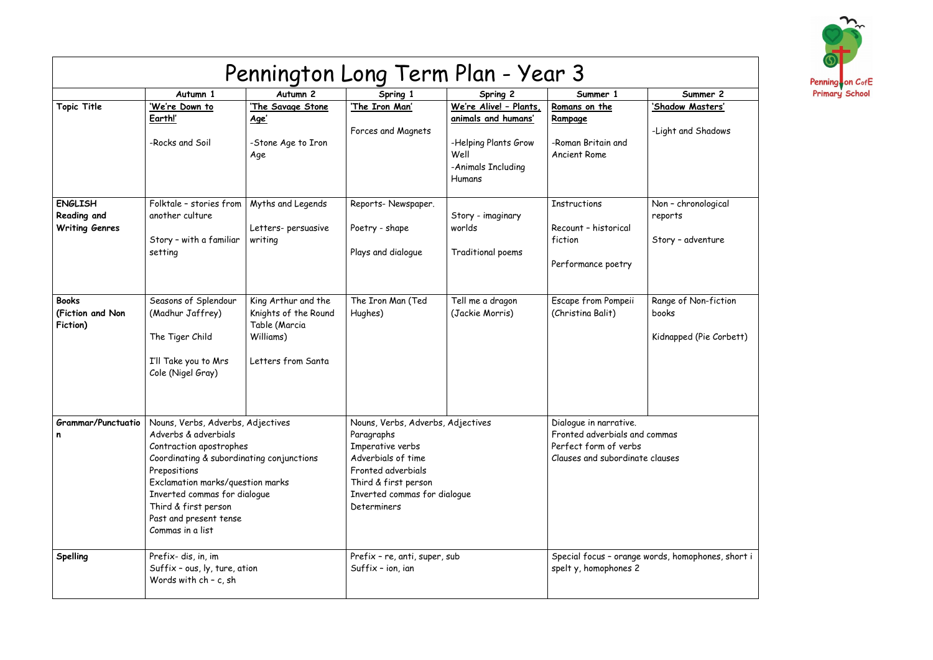| Pennington Long Term Plan - Year 3                     |                                                                                                                                                                                                                                                                                             |                                                                                                 |                                                                                                                                                                                        |                                                                                                               |                                                                                                                     |                                                          |
|--------------------------------------------------------|---------------------------------------------------------------------------------------------------------------------------------------------------------------------------------------------------------------------------------------------------------------------------------------------|-------------------------------------------------------------------------------------------------|----------------------------------------------------------------------------------------------------------------------------------------------------------------------------------------|---------------------------------------------------------------------------------------------------------------|---------------------------------------------------------------------------------------------------------------------|----------------------------------------------------------|
|                                                        | Autumn 1                                                                                                                                                                                                                                                                                    | Autumn <sub>2</sub>                                                                             | Spring 1                                                                                                                                                                               | Spring 2                                                                                                      | Summer 1                                                                                                            | Summer 2                                                 |
| <b>Topic Title</b>                                     | 'We're Down to<br>Earth!'<br>-Rocks and Soil                                                                                                                                                                                                                                                | 'The Savage Stone<br><u>Age'</u><br>-Stone Age to Iron<br>Age                                   | 'The Iron Man'<br>Forces and Magnets                                                                                                                                                   | We're Alive! - Plants,<br>animals and humans'<br>-Helping Plants Grow<br>Well<br>-Animals Including<br>Humans | Romans on the<br><b>Rampage</b><br>-Roman Britain and<br><b>Ancient Rome</b>                                        | 'Shadow Masters'<br>-Light and Shadows                   |
| <b>ENGLISH</b><br>Reading and<br><b>Writing Genres</b> | Folktale - stories from<br>another culture<br>Story - with a familiar<br>setting                                                                                                                                                                                                            | Myths and Legends<br>Letters- persuasive<br>writing                                             | Reports-Newspaper.<br>Poetry - shape<br>Plays and dialogue                                                                                                                             | Story - imaginary<br>worlds<br>Traditional poems                                                              | <b>Instructions</b><br>Recount - historical<br>fiction<br>Performance poetry                                        | Non - chronological<br>reports<br>Story - adventure      |
| <b>Books</b><br>(Fiction and Non<br>Fiction)           | Seasons of Splendour<br>(Madhur Jaffrey)<br>The Tiger Child<br>I'll Take you to Mrs<br>Cole (Nigel Gray)                                                                                                                                                                                    | King Arthur and the<br>Knights of the Round<br>Table (Marcia<br>Williams)<br>Letters from Santa | The Iron Man (Ted<br>Hughes)                                                                                                                                                           | Tell me a dragon<br>(Jackie Morris)                                                                           | Escape from Pompeii<br>(Christina Balit)                                                                            | Range of Non-fiction<br>books<br>Kidnapped (Pie Corbett) |
| <b>Grammar/Punctuatio</b><br>n                         | Nouns, Verbs, Adverbs, Adjectives<br>Adverbs & adverbials<br>Contraction apostrophes<br>Coordinating & subordinating conjunctions<br>Prepositions<br>Exclamation marks/question marks<br>Inverted commas for dialogue<br>Third & first person<br>Past and present tense<br>Commas in a list |                                                                                                 | Nouns, Verbs, Adverbs, Adjectives<br>Paragraphs<br>Imperative verbs<br>Adverbials of time<br>Fronted adverbials<br>Third & first person<br>Inverted commas for dialogue<br>Determiners |                                                                                                               | Dialogue in narrative.<br>Fronted adverbials and commas<br>Perfect form of verbs<br>Clauses and subordinate clauses |                                                          |
| Spelling                                               | Prefix-dis, in, im<br>Suffix - ous, ly, ture, ation<br>Words with $ch - c$ , sh                                                                                                                                                                                                             |                                                                                                 | Prefix - re, anti, super, sub<br>Suffix - ion, ian                                                                                                                                     |                                                                                                               | Special focus - orange words, homophones, short i<br>spelty, homophones 2                                           |                                                          |

| ier 2<br><u>:ters'</u> |
|------------------------|
| iadows                 |
|                        |
|                        |
| logical                |
| nture                  |
|                        |
| -fiction               |
| e Corbett)             |
|                        |
|                        |
|                        |
|                        |
|                        |
|                        |
|                        |
| ones, short i          |
|                        |

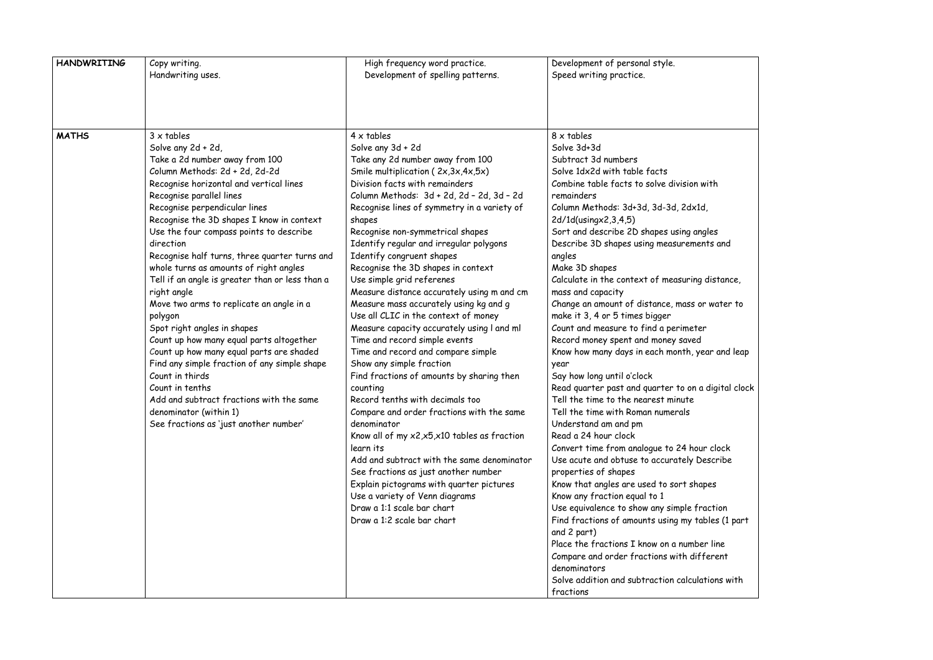| <b>HANDWRITING</b> | Copy writing.<br>Handwriting uses.                                                                                                                                                                                                                                                                                                                                                                                                                                                                                                                                                                                                                                                                                                                                                                                                                                        | High frequency word practice.<br>Development of spelling patterns.                                                                                                                                                                                                                                                                                                                                                                                                                                                                                                                                                                                                                                                                                                                                                                                                                                                                                                                                                                                                                                                                                                           | Development of personal style.<br>Speed writing practice.                                                                                                                                                                                                                                                                                                                                                                                                                                                                                                                                                                                                                                                                                                                                                                                                                                                                                                                                                                                                                                                                                                                                                                                                                                         |
|--------------------|---------------------------------------------------------------------------------------------------------------------------------------------------------------------------------------------------------------------------------------------------------------------------------------------------------------------------------------------------------------------------------------------------------------------------------------------------------------------------------------------------------------------------------------------------------------------------------------------------------------------------------------------------------------------------------------------------------------------------------------------------------------------------------------------------------------------------------------------------------------------------|------------------------------------------------------------------------------------------------------------------------------------------------------------------------------------------------------------------------------------------------------------------------------------------------------------------------------------------------------------------------------------------------------------------------------------------------------------------------------------------------------------------------------------------------------------------------------------------------------------------------------------------------------------------------------------------------------------------------------------------------------------------------------------------------------------------------------------------------------------------------------------------------------------------------------------------------------------------------------------------------------------------------------------------------------------------------------------------------------------------------------------------------------------------------------|---------------------------------------------------------------------------------------------------------------------------------------------------------------------------------------------------------------------------------------------------------------------------------------------------------------------------------------------------------------------------------------------------------------------------------------------------------------------------------------------------------------------------------------------------------------------------------------------------------------------------------------------------------------------------------------------------------------------------------------------------------------------------------------------------------------------------------------------------------------------------------------------------------------------------------------------------------------------------------------------------------------------------------------------------------------------------------------------------------------------------------------------------------------------------------------------------------------------------------------------------------------------------------------------------|
|                    |                                                                                                                                                                                                                                                                                                                                                                                                                                                                                                                                                                                                                                                                                                                                                                                                                                                                           |                                                                                                                                                                                                                                                                                                                                                                                                                                                                                                                                                                                                                                                                                                                                                                                                                                                                                                                                                                                                                                                                                                                                                                              |                                                                                                                                                                                                                                                                                                                                                                                                                                                                                                                                                                                                                                                                                                                                                                                                                                                                                                                                                                                                                                                                                                                                                                                                                                                                                                   |
| <b>MATHS</b>       | $3 \times$ tables<br>Solve any 2d + 2d,<br>Take a 2d number away from 100<br>Column Methods: 2d + 2d, 2d-2d<br>Recognise horizontal and vertical lines<br>Recognise parallel lines<br>Recognise perpendicular lines<br>Recognise the 3D shapes I know in context<br>Use the four compass points to describe<br>direction<br>Recognise half turns, three quarter turns and<br>whole turns as amounts of right angles<br>Tell if an angle is greater than or less than a<br>right angle<br>Move two arms to replicate an angle in a<br>polygon<br>Spot right angles in shapes<br>Count up how many equal parts altogether<br>Count up how many equal parts are shaded<br>Find any simple fraction of any simple shape<br>Count in thirds<br>Count in tenths<br>Add and subtract fractions with the same<br>denominator (within 1)<br>See fractions as 'just another number' | $4 \times$ tables<br>Solve any 3d + 2d<br>Take any 2d number away from 100<br>Smile multiplication (2x,3x,4x,5x)<br>Division facts with remainders<br>Column Methods: 3d + 2d, 2d - 2d, 3d - 2d<br>Recognise lines of symmetry in a variety of<br>shapes<br>Recognise non-symmetrical shapes<br>Identify regular and irregular polygons<br>Identify congruent shapes<br>Recognise the 3D shapes in context<br>Use simple grid referenes<br>Measure distance accurately using m and cm<br>Measure mass accurately using kg and g<br>Use all CLIC in the context of money<br>Measure capacity accurately using I and ml<br>Time and record simple events<br>Time and record and compare simple<br>Show any simple fraction<br>Find fractions of amounts by sharing then<br>counting<br>Record tenths with decimals too<br>Compare and order fractions with the same<br>denominator<br>Know all of my x2,x5,x10 tables as fraction<br>learn its<br>Add and subtract with the same denominator<br>See fractions as just another number<br>Explain pictograms with quarter pictures<br>Use a variety of Venn diagrams<br>Draw a 1:1 scale bar chart<br>Draw a 1:2 scale bar chart | $8 \times$ tables<br>Solve 3d+3d<br>Subtract 3d numbers<br>Solve 1dx2d with table facts<br>Combine table facts to solve division with<br>remainders<br>Column Methods: 3d+3d, 3d-3d, 2dx1d,<br>2d/1d(usingx2,3,4,5)<br>Sort and describe 2D shapes using angles<br>Describe 3D shapes using measurements<br>angles<br>Make 3D shapes<br>Calculate in the context of measuring dis<br>mass and capacity<br>Change an amount of distance, mass or we<br>make it 3, 4 or 5 times bigger<br>Count and measure to find a perimeter<br>Record money spent and money saved<br>Know how many days in each month, year<br>year<br>Say how long until o'clock<br>Read quarter past and quarter to on a dig<br>Tell the time to the nearest minute<br>Tell the time with Roman numerals<br>Understand am and pm<br>Read a 24 hour clock<br>Convert time from analogue to 24 hour cl<br>Use acute and obtuse to accurately Desc<br>properties of shapes<br>Know that angles are used to sort shapes<br>Know any fraction equal to 1<br>Use equivalence to show any simple fract<br>Find fractions of amounts using my table<br>and 2 part)<br>Place the fractions I know on a number li<br>Compare and order fractions with differ<br>denominators<br>Solve addition and subtraction calculation<br>fractions |

with ngles  $ints$  and distance, or water to ear and leap a digital cloc<mark>k</mark> ur clock escribe raction ables (1 part er line <sup>:</sup>ferent ations with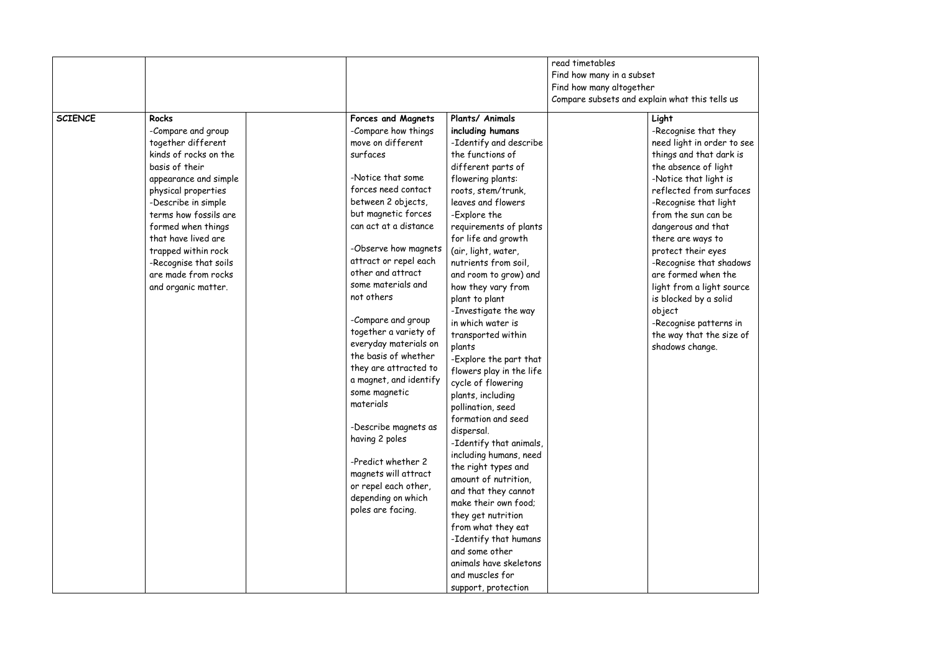|                |                                                                                                                                                                                                                                                                                                                                                |                                                                                                                                                                                                                                                                                                                                                                                                                                                                                                                                                                                                                                                           |                                                                                                                                                                                                                                                                                                                                                                                                                                                                                                                                                                                                                                                                                                                                                                                                                                                                                                                 | read timetables<br>Find how many in a subset<br>Find how many altogether<br>Compare subsets and explain what this |                                                                                                                                                                                                                                                                                                                                                          |
|----------------|------------------------------------------------------------------------------------------------------------------------------------------------------------------------------------------------------------------------------------------------------------------------------------------------------------------------------------------------|-----------------------------------------------------------------------------------------------------------------------------------------------------------------------------------------------------------------------------------------------------------------------------------------------------------------------------------------------------------------------------------------------------------------------------------------------------------------------------------------------------------------------------------------------------------------------------------------------------------------------------------------------------------|-----------------------------------------------------------------------------------------------------------------------------------------------------------------------------------------------------------------------------------------------------------------------------------------------------------------------------------------------------------------------------------------------------------------------------------------------------------------------------------------------------------------------------------------------------------------------------------------------------------------------------------------------------------------------------------------------------------------------------------------------------------------------------------------------------------------------------------------------------------------------------------------------------------------|-------------------------------------------------------------------------------------------------------------------|----------------------------------------------------------------------------------------------------------------------------------------------------------------------------------------------------------------------------------------------------------------------------------------------------------------------------------------------------------|
| <b>SCIENCE</b> | <b>Rocks</b><br>-Compare and group<br>together different<br>kinds of rocks on the<br>basis of their<br>appearance and simple<br>physical properties<br>-Describe in simple<br>terms how fossils are<br>formed when things<br>that have lived are<br>trapped within rock<br>-Recognise that soils<br>are made from rocks<br>and organic matter. | <b>Forces and Magnets</b><br>-Compare how things<br>move on different<br>surfaces<br>-Notice that some<br>forces need contact<br>between 2 objects,<br>but magnetic forces<br>can act at a distance<br>-Observe how magnets<br>attract or repel each<br>other and attract<br>some materials and<br>not others<br>-Compare and group<br>together a variety of<br>everyday materials on<br>the basis of whether<br>they are attracted to<br>a magnet, and identify<br>some magnetic<br>materials<br>-Describe magnets as<br>having 2 poles<br>-Predict whether 2<br>magnets will attract<br>or repel each other,<br>depending on which<br>poles are facing. | Plants/ Animals<br>including humans<br>-Identify and describe<br>the functions of<br>different parts of<br>flowering plants:<br>roots, stem/trunk,<br>leaves and flowers<br>-Explore the<br>requirements of plants<br>for life and growth<br>(air, light, water,<br>nutrients from soil,<br>and room to grow) and<br>how they vary from<br>plant to plant<br>-Investigate the way<br>in which water is<br>transported within<br>plants<br>-Explore the part that<br>flowers play in the life<br>cycle of flowering<br>plants, including<br>pollination, seed<br>formation and seed<br>dispersal.<br>-Identify that animals,<br>including humans, need<br>the right types and<br>amount of nutrition,<br>and that they cannot<br>make their own food;<br>they get nutrition<br>from what they eat<br>-Identify that humans<br>and some other<br>animals have skeletons<br>and muscles for<br>support, protection |                                                                                                                   | Light<br>-Recognise tho<br>need light in or<br>things and that<br>the absence of<br>-Notice that li<br>reflected fron<br>-Recognise tho<br>from the sun c<br>dangerous and<br>there are ways<br>protect their a<br>-Recognise tho<br>are formed wh<br>light from a lig<br>is blocked by a<br>object<br>-Recognise pat<br>the way that t<br>shadows chang |

tells us at they order to see at dark is of light light is m surfaces at light can be d that s to eyes at shadows hen the ight source i solid tterns in the size of ge.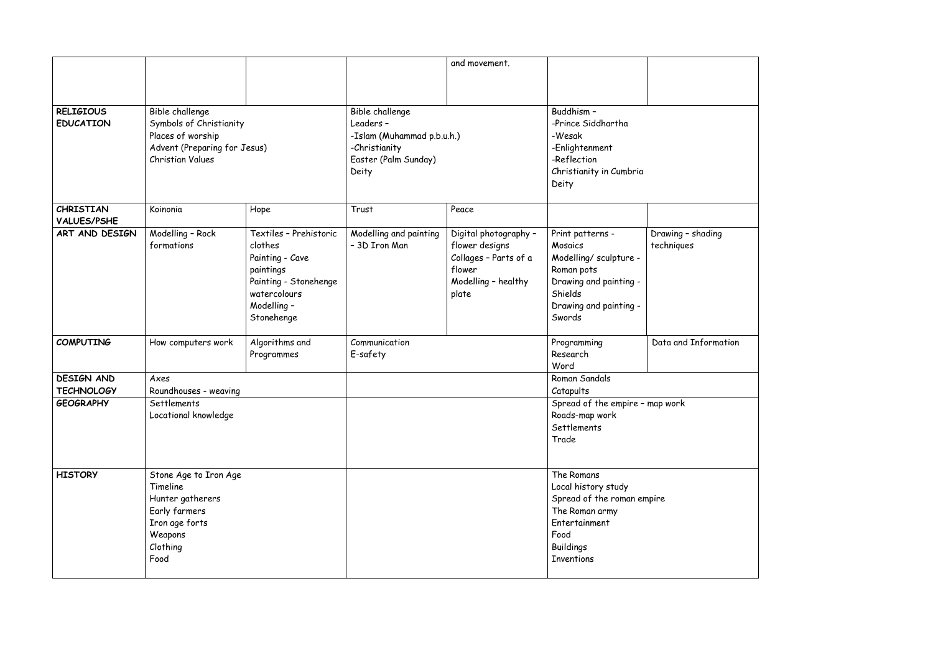|                                        |                                                                                                                            |                                                                                                                                         |                                                                                                              | and movement.                                                                                              |                                                                                                                                                     |                             |
|----------------------------------------|----------------------------------------------------------------------------------------------------------------------------|-----------------------------------------------------------------------------------------------------------------------------------------|--------------------------------------------------------------------------------------------------------------|------------------------------------------------------------------------------------------------------------|-----------------------------------------------------------------------------------------------------------------------------------------------------|-----------------------------|
| <b>RELIGIOUS</b><br><b>EDUCATION</b>   | Bible challenge<br>Symbols of Christianity<br>Places of worship<br>Advent (Preparing for Jesus)<br><b>Christian Values</b> |                                                                                                                                         | Bible challenge<br>Leaders -<br>-Islam (Muhammad p.b.u.h.)<br>-Christianity<br>Easter (Palm Sunday)<br>Deity |                                                                                                            | Buddhism -<br>-Prince Siddhartha<br>-Wesak<br>-Enlightenment<br>-Reflection<br>Christianity in Cumbria<br>Deity                                     |                             |
| <b>CHRISTIAN</b><br><b>VALUES/PSHE</b> | Koinonia                                                                                                                   | Hope                                                                                                                                    | Trust                                                                                                        | Peace                                                                                                      |                                                                                                                                                     |                             |
| ART AND DESIGN                         | Modelling - Rock<br>formations                                                                                             | Textiles - Prehistoric<br>clothes<br>Painting - Cave<br>paintings<br>Painting - Stonehenge<br>watercolours<br>Modelling -<br>Stonehenge | Modelling and painting<br>- 3D Iron Man                                                                      | Digital photography -<br>flower designs<br>Collages - Parts of a<br>flower<br>Modelling - healthy<br>plate | Print patterns -<br>Mosaics<br>Modelling/ sculpture -<br>Roman pots<br>Drawing and painting -<br>Shields<br>Drawing and painting -<br>Swords        | Drawing - sho<br>techniques |
| <b>COMPUTING</b>                       | How computers work                                                                                                         | Algorithms and<br>Programmes                                                                                                            | Communication<br>E-safety                                                                                    |                                                                                                            | Programming<br>Research<br>Word                                                                                                                     | Data and Inf                |
| <b>DESIGN AND</b>                      | Axes                                                                                                                       |                                                                                                                                         |                                                                                                              |                                                                                                            | Roman Sandals                                                                                                                                       |                             |
| <b>TECHNOLOGY</b>                      | Roundhouses - weaving                                                                                                      |                                                                                                                                         |                                                                                                              |                                                                                                            | Catapults                                                                                                                                           |                             |
| <b>GEOGRAPHY</b>                       | Settlements<br>Locational knowledge                                                                                        |                                                                                                                                         |                                                                                                              |                                                                                                            | Spread of the empire - map work<br>Roads-map work<br>Settlements<br>Trade                                                                           |                             |
| <b>HISTORY</b>                         | Stone Age to Iron Age<br>Timeline<br>Hunter gatherers<br>Early farmers<br>Iron age forts<br>Weapons<br>Clothing<br>Food    |                                                                                                                                         |                                                                                                              |                                                                                                            | The Romans<br>Local history study<br>Spread of the roman empire<br>The Roman army<br>Entertainment<br>Food<br><b>Buildings</b><br><b>Inventions</b> |                             |